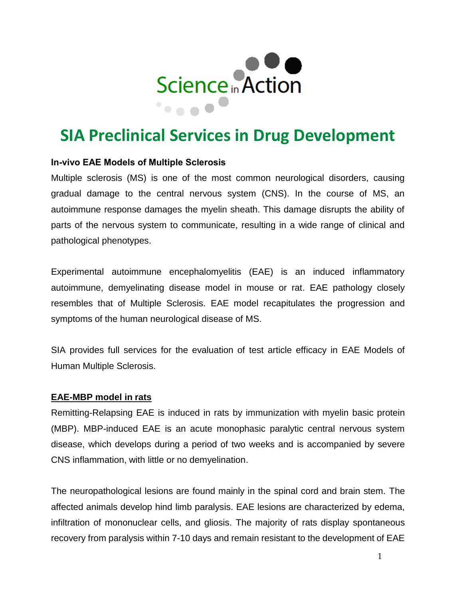

# **SIA Preclinical Services in Drug Development**

#### **In-vivo EAE Models of Multiple Sclerosis**

Multiple sclerosis (MS) is one of the most common neurological disorders, causing gradual damage to the central nervous system (CNS). In the course of MS, an autoimmune response damages the myelin sheath. This damage disrupts the ability of parts of the nervous system to communicate, resulting in a wide range of clinical and pathological phenotypes.

Experimental autoimmune encephalomyelitis (EAE) is an induced inflammatory autoimmune, demyelinating disease model in mouse or rat. EAE pathology closely resembles that of Multiple Sclerosis. EAE model recapitulates the progression and symptoms of the human neurological disease of MS.

SIA provides full services for the evaluation of test article efficacy in EAE Models of Human Multiple Sclerosis.

#### **EAE-MBP model in rats**

Remitting-Relapsing EAE is induced in rats by immunization with myelin basic protein (MBP). MBP-induced EAE is an acute monophasic paralytic central nervous system disease, which develops during a period of two weeks and is accompanied by severe CNS inflammation, with little or no demyelination.

The neuropathological lesions are found mainly in the spinal cord and brain stem. The affected animals develop hind limb paralysis. EAE lesions are characterized by edema, infiltration of mononuclear cells, and gliosis. The majority of rats display spontaneous recovery from paralysis within 7-10 days and remain resistant to the development of EAE